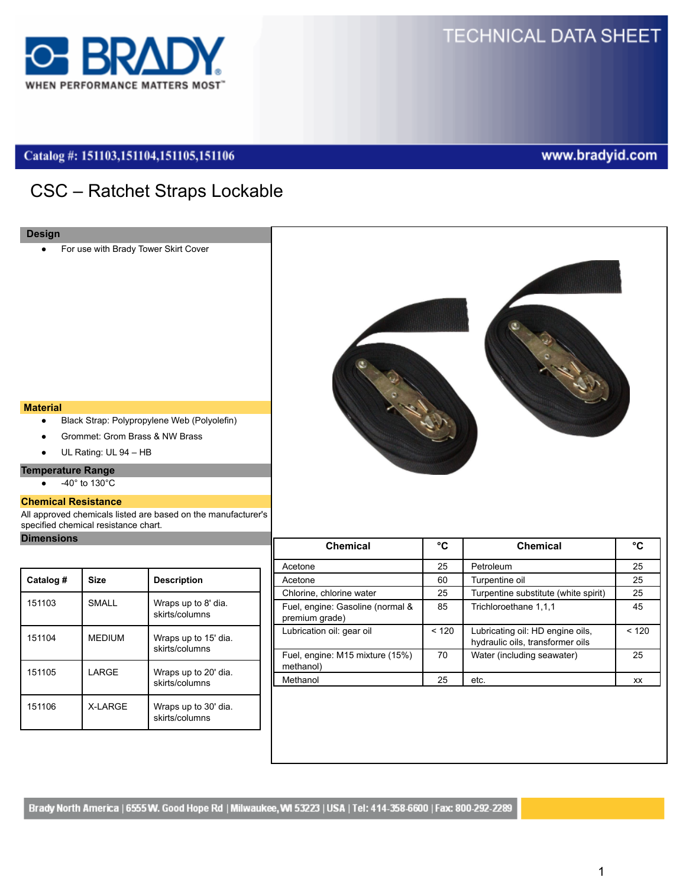

# **TECHNICAL DATA SHEET**

# Catalog #: 151103,151104,151105,151106

# www.bradyid.com

# CSC – Ratchet Straps Lockable

For use with Brady Tower Skirt Cover



#### **Material**

- Black Strap: Polypropylene Web (Polyolefin)
- Grommet: Grom Brass & NW Brass
- UL Rating: UL 94 HB

# **Temperature Range**

 $\bullet$   $-40^{\circ}$  to  $130^{\circ}$ C

#### **Chemical Resistance**

All approved chemicals listed are based on the manufacturer's specified chemical resistance chart.

# **Dimensions**

| Catalog # | <b>Size</b>     | <b>Description</b>                     |
|-----------|-----------------|----------------------------------------|
| 151103    | <b>SMALL</b>    | Wraps up to 8' dia.<br>skirts/columns  |
| 151104    | <b>MEDIUM</b>   | Wraps up to 15' dia.<br>skirts/columns |
| 151105    | LARGE           | Wraps up to 20' dia.<br>skirts/columns |
| 151106    | <b>X-I ARGF</b> | Wraps up to 30' dia.<br>skirts/columns |

| <b>Chemical</b>                                    | °C    | <b>Chemical</b>                                                      | °C        |
|----------------------------------------------------|-------|----------------------------------------------------------------------|-----------|
| Acetone                                            | 25    | Petroleum                                                            | 25        |
| Acetone                                            | 60    | Turpentine oil                                                       | 25        |
| Chlorine, chlorine water                           | 25    | Turpentine substitute (white spirit)                                 | 25        |
| Fuel, engine: Gasoline (normal &<br>premium grade) | 85    | Trichloroethane 1,1,1                                                | 45        |
| Lubrication oil: gear oil                          | < 120 | Lubricating oil: HD engine oils,<br>hydraulic oils, transformer oils | < 120     |
| Fuel, engine: M15 mixture (15%)<br>methanol)       | 70    | Water (including seawater)                                           | 25        |
| Methanol                                           | 25    | etc.                                                                 | <b>XX</b> |
|                                                    |       |                                                                      |           |

Brady North America | 6555 W. Good Hope Rd | Milwaukee, WI 53223 | USA | Tel: 414-358-6600 | Fax: 800-292-2289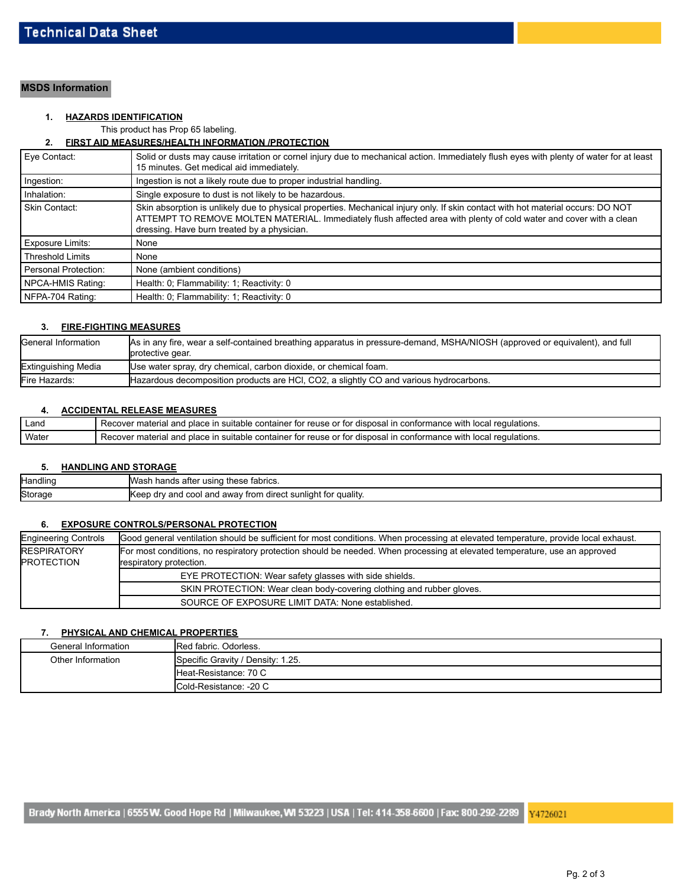# **MSDS Information**

# **1. HAZARDS IDENTIFICATION**

This product has Prop 65 labeling.

## **2. FIRST AID MEASURES/HEALTH INFORMATION /PROTECTION**

| Eve Contact:            | Solid or dusts may cause irritation or cornel injury due to mechanical action. Immediately flush eyes with plenty of water for at least<br>15 minutes. Get medical aid immediately.                                                                                                                    |  |
|-------------------------|--------------------------------------------------------------------------------------------------------------------------------------------------------------------------------------------------------------------------------------------------------------------------------------------------------|--|
| Ingestion:              | Ingestion is not a likely route due to proper industrial handling.                                                                                                                                                                                                                                     |  |
| Inhalation:             | Single exposure to dust is not likely to be hazardous.                                                                                                                                                                                                                                                 |  |
| Skin Contact:           | Skin absorption is unlikely due to physical properties. Mechanical injury only. If skin contact with hot material occurs: DO NOT<br>ATTEMPT TO REMOVE MOLTEN MATERIAL. Immediately flush affected area with plenty of cold water and cover with a clean<br>dressing. Have burn treated by a physician. |  |
| Exposure Limits:        | None                                                                                                                                                                                                                                                                                                   |  |
| <b>Threshold Limits</b> | None                                                                                                                                                                                                                                                                                                   |  |
| Personal Protection:    | None (ambient conditions)                                                                                                                                                                                                                                                                              |  |
| NPCA-HMIS Rating:       | Health: 0; Flammability: 1; Reactivity: 0                                                                                                                                                                                                                                                              |  |
| NFPA-704 Rating:        | Health: 0; Flammability: 1; Reactivity: 0                                                                                                                                                                                                                                                              |  |

## **3. FIRE-FIGHTING MEASURES**

| General Information | As in any fire, wear a self-contained breathing apparatus in pressure-demand, MSHA/NIOSH (approved or equivalent), and full<br>protective gear. |
|---------------------|-------------------------------------------------------------------------------------------------------------------------------------------------|
| Extinguishing Media | Use water spray, dry chemical, carbon dioxide, or chemical foam.                                                                                |
| Fire Hazards:       | Hazardous decomposition products are HCl, CO2, a slightly CO and various hydrocarbons.                                                          |

#### **4. ACCIDENTAL RELEASE MEASURES**

| Land  | Recover material and place in suitable container for reuse or for disposal in conformance with local regulations. |
|-------|-------------------------------------------------------------------------------------------------------------------|
| Water | Recover material and place in suitable container for reuse or for disposal in conformance with local regulations. |

#### **5. HANDLING AND STORAGE**

| Handling | <b>I</b> Wash<br>these fabrics.<br>ı hands after using                     |
|----------|----------------------------------------------------------------------------|
| Storage  | <b>I</b> Keep<br>ر dry and cool and away from direct sunlight for quality. |

# **6. EXPOSURE CONTROLS/PERSONAL PROTECTION**

| <b>Engineering Controls</b>                                           | Good general ventilation should be sufficient for most conditions. When processing at elevated temperature, provide local exhaust. |  |  |
|-----------------------------------------------------------------------|------------------------------------------------------------------------------------------------------------------------------------|--|--|
| <b>RESPIRATORY</b>                                                    | For most conditions, no respiratory protection should be needed. When processing at elevated temperature, use an approved          |  |  |
| <b>PROTECTION</b>                                                     | respiratory protection.                                                                                                            |  |  |
|                                                                       | EYE PROTECTION: Wear safety glasses with side shields.                                                                             |  |  |
| SKIN PROTECTION: Wear clean body-covering clothing and rubber gloves. |                                                                                                                                    |  |  |
|                                                                       | SOURCE OF EXPOSURE LIMIT DATA: None established.                                                                                   |  |  |

## **7. PHYSICAL AND CHEMICAL PROPERTIES**

| General Information | Red fabric, Odorless,             |
|---------------------|-----------------------------------|
| Other Information   | Specific Gravity / Density: 1.25. |
|                     | Heat-Resistance: 70 C             |
|                     | Cold-Resistance: -20 C            |